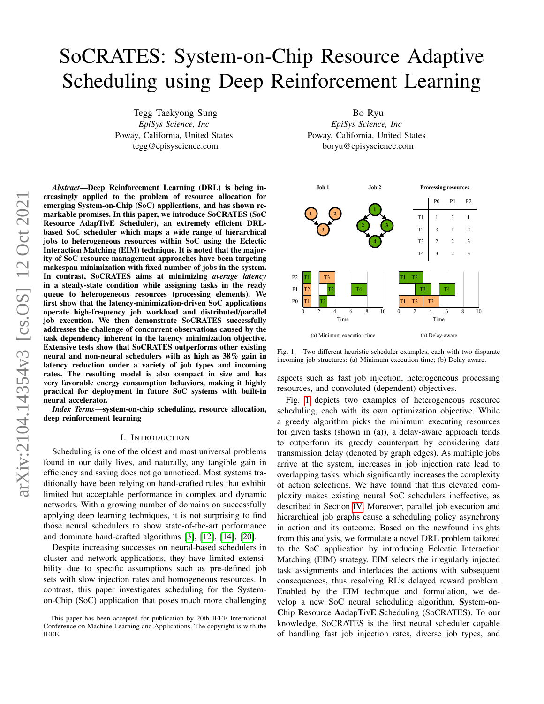# SoCRATES: System-on-Chip Resource Adaptive Scheduling using Deep Reinforcement Learning

Tegg Taekyong Sung *EpiSys Science, Inc* Poway, California, United States tegg@episyscience.com

arXiv:2104.14354v3 [cs.OS] 12 Oct 2021 arXiv:2104.14354v3 [cs.OS] 12 Oct 2021

*Abstract*—Deep Reinforcement Learning (DRL) is being increasingly applied to the problem of resource allocation for emerging System-on-Chip (SoC) applications, and has shown remarkable promises. In this paper, we introduce SoCRATES (SoC Resource AdapTivE Scheduler), an extremely efficient DRLbased SoC scheduler which maps a wide range of hierarchical jobs to heterogeneous resources within SoC using the Eclectic Interaction Matching (EIM) technique. It is noted that the majority of SoC resource management approaches have been targeting makespan minimization with fixed number of jobs in the system. In contrast, SoCRATES aims at minimizing *average latency* in a steady-state condition while assigning tasks in the ready queue to heterogeneous resources (processing elements). We first show that the latency-minimization-driven SoC applications operate high-frequency job workload and distributed/parallel job execution. We then demonstrate SoCRATES successfully addresses the challenge of concurrent observations caused by the task dependency inherent in the latency minimization objective. Extensive tests show that SoCRATES outperforms other existing neural and non-neural schedulers with as high as 38% gain in latency reduction under a variety of job types and incoming rates. The resulting model is also compact in size and has very favorable energy consumption behaviors, making it highly practical for deployment in future SoC systems with built-in neural accelerator.

*Index Terms*—system-on-chip scheduling, resource allocation, deep reinforcement learning

#### I. INTRODUCTION

Scheduling is one of the oldest and most universal problems found in our daily lives, and naturally, any tangible gain in efficiency and saving does not go unnoticed. Most systems traditionally have been relying on hand-crafted rules that exhibit limited but acceptable performance in complex and dynamic networks. With a growing number of domains on successfully applying deep learning techniques, it is not surprising to find those neural schedulers to show state-of-the-art performance and dominate hand-crafted algorithms [\[3\]](#page-5-0), [\[12\]](#page-5-1), [\[14\]](#page-5-2), [\[20\]](#page-5-3).

Despite increasing successes on neural-based schedulers in cluster and network applications, they have limited extensibility due to specific assumptions such as pre-defined job sets with slow injection rates and homogeneous resources. In contrast, this paper investigates scheduling for the Systemon-Chip (SoC) application that poses much more challenging

Bo Ryu *EpiSys Science, Inc* Poway, California, United States boryu@episyscience.com



<span id="page-0-0"></span>Fig. 1. Two different heuristic scheduler examples, each with two disparate incoming job structures: (a) Minimum execution time; (b) Delay-aware.

aspects such as fast job injection, heterogeneous processing resources, and convoluted (dependent) objectives.

Fig. [1](#page-0-0) depicts two examples of heterogeneous resource scheduling, each with its own optimization objective. While a greedy algorithm picks the minimum executing resources for given tasks (shown in (a)), a delay-aware approach tends to outperform its greedy counterpart by considering data transmission delay (denoted by graph edges). As multiple jobs arrive at the system, increases in job injection rate lead to overlapping tasks, which significantly increases the complexity of action selections. We have found that this elevated complexity makes existing neural SoC schedulers ineffective, as described in Section [IV.](#page-2-0) Moreover, parallel job execution and hierarchical job graphs cause a scheduling policy asynchrony in action and its outcome. Based on the newfound insights from this analysis, we formulate a novel DRL problem tailored to the SoC application by introducing Eclectic Interaction Matching (EIM) strategy. EIM selects the irregularly injected task assignments and interlaces the actions with subsequent consequences, thus resolving RL's delayed reward problem. Enabled by the EIM technique and formulation, we develop a new SoC neural scheduling algorithm, System-on-Chip Resource AadapTivE Scheduling (SoCRATES). To our knowledge, SoCRATES is the first neural scheduler capable of handling fast job injection rates, diverse job types, and

This paper has been accepted for publication by 20th IEEE International Conference on Machine Learning and Applications. The copyright is with the IEEE.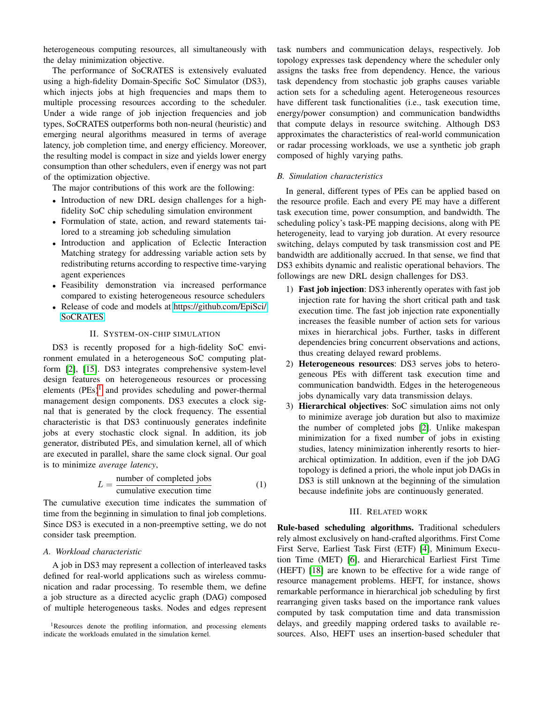heterogeneous computing resources, all simultaneously with the delay minimization objective.

The performance of SoCRATES is extensively evaluated using a high-fidelity Domain-Specific SoC Simulator (DS3), which injects jobs at high frequencies and maps them to multiple processing resources according to the scheduler. Under a wide range of job injection frequencies and job types, SoCRATES outperforms both non-neural (heuristic) and emerging neural algorithms measured in terms of average latency, job completion time, and energy efficiency. Moreover, the resulting model is compact in size and yields lower energy consumption than other schedulers, even if energy was not part of the optimization objective.

The major contributions of this work are the following:

- Introduction of new DRL design challenges for a highfidelity SoC chip scheduling simulation environment
- Formulation of state, action, and reward statements tailored to a streaming job scheduling simulation
- Introduction and application of Eclectic Interaction Matching strategy for addressing variable action sets by redistributing returns according to respective time-varying agent experiences
- Feasibility demonstration via increased performance compared to existing heterogeneous resource schedulers
- Release of code and models at [https://github.com/EpiSci/](https://github.com/EpiSci/SoCRATES) [SoCRATES.](https://github.com/EpiSci/SoCRATES)

## II. SYSTEM-ON-CHIP SIMULATION

DS3 is recently proposed for a high-fidelity SoC environment emulated in a heterogeneous SoC computing platform [\[2\]](#page-5-4), [\[15\]](#page-5-5). DS3 integrates comprehensive system-level design features on heterogeneous resources or processing elements  $(PEs)^1$  $(PEs)^1$  and provides scheduling and power-thermal management design components. DS3 executes a clock signal that is generated by the clock frequency. The essential characteristic is that DS3 continuously generates indefinite jobs at every stochastic clock signal. In addition, its job generator, distributed PEs, and simulation kernel, all of which are executed in parallel, share the same clock signal. Our goal is to minimize *average latency*,

<span id="page-1-1"></span>
$$
L = \frac{\text{number of completed jobs}}{\text{cumulative execution time}} \tag{1}
$$

The cumulative execution time indicates the summation of time from the beginning in simulation to final job completions. Since DS3 is executed in a non-preemptive setting, we do not consider task preemption.

## *A. Workload characteristic*

A job in DS3 may represent a collection of interleaved tasks defined for real-world applications such as wireless communication and radar processing. To resemble them, we define a job structure as a directed acyclic graph (DAG) composed of multiple heterogeneous tasks. Nodes and edges represent

<span id="page-1-0"></span><sup>1</sup>Resources denote the profiling information, and processing elements indicate the workloads emulated in the simulation kernel.

task numbers and communication delays, respectively. Job topology expresses task dependency where the scheduler only assigns the tasks free from dependency. Hence, the various task dependency from stochastic job graphs causes variable action sets for a scheduling agent. Heterogeneous resources have different task functionalities (i.e., task execution time, energy/power consumption) and communication bandwidths that compute delays in resource switching. Although DS3 approximates the characteristics of real-world communication or radar processing workloads, we use a synthetic job graph composed of highly varying paths.

## *B. Simulation characteristics*

In general, different types of PEs can be applied based on the resource profile. Each and every PE may have a different task execution time, power consumption, and bandwidth. The scheduling policy's task-PE mapping decisions, along with PE heterogeneity, lead to varying job duration. At every resource switching, delays computed by task transmission cost and PE bandwidth are additionally accrued. In that sense, we find that DS3 exhibits dynamic and realistic operational behaviors. The followings are new DRL design challenges for DS3.

- 1) Fast job injection: DS3 inherently operates with fast job injection rate for having the short critical path and task execution time. The fast job injection rate exponentially increases the feasible number of action sets for various mixes in hierarchical jobs. Further, tasks in different dependencies bring concurrent observations and actions, thus creating delayed reward problems.
- 2) Heterogeneous resources: DS3 serves jobs to heterogeneous PEs with different task execution time and communication bandwidth. Edges in the heterogeneous jobs dynamically vary data transmission delays.
- 3) Hierarchical objectives: SoC simulation aims not only to minimize average job duration but also to maximize the number of completed jobs [\[2\]](#page-5-4). Unlike makespan minimization for a fixed number of jobs in existing studies, latency minimization inherently resorts to hierarchical optimization. In addition, even if the job DAG topology is defined a priori, the whole input job DAGs in DS3 is still unknown at the beginning of the simulation because indefinite jobs are continuously generated.

## III. RELATED WORK

Rule-based scheduling algorithms. Traditional schedulers rely almost exclusively on hand-crafted algorithms. First Come First Serve, Earliest Task First (ETF) [\[4\]](#page-5-6), Minimum Execution Time (MET) [\[6\]](#page-5-7), and Hierarchical Earliest First Time (HEFT) [\[18\]](#page-5-8) are known to be effective for a wide range of resource management problems. HEFT, for instance, shows remarkable performance in hierarchical job scheduling by first rearranging given tasks based on the importance rank values computed by task computation time and data transmission delays, and greedily mapping ordered tasks to available resources. Also, HEFT uses an insertion-based scheduler that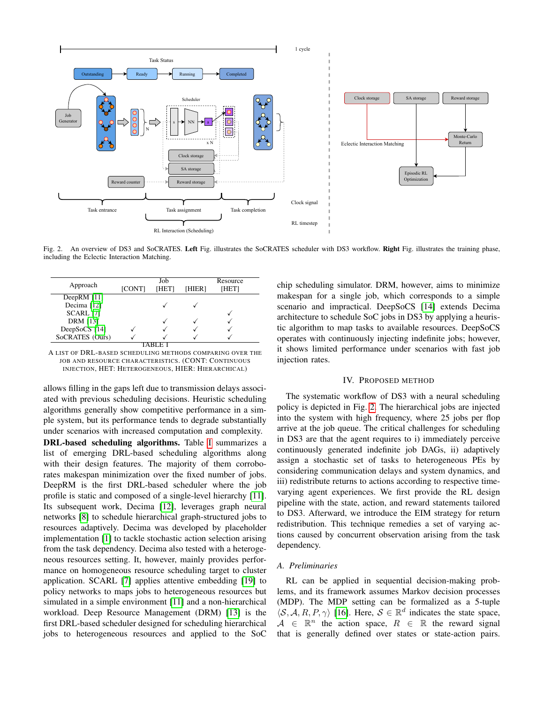

<span id="page-2-2"></span>Fig. 2. An overview of DS3 and SoCRATES. Left Fig. illustrates the SoCRATES scheduler with DS3 workflow. Right Fig. illustrates the training phase, including the Eclectic Interaction Matching.

| Approach        | <b>[CONT]</b> | Job<br><b>THET1</b> | [HIER] | Resource<br>[HET] |
|-----------------|---------------|---------------------|--------|-------------------|
| DeepRM $[11]$   |               |                     |        |                   |
| Decima [12]     |               |                     |        |                   |
| SCARL [7]       |               |                     |        |                   |
| <b>DRM</b> [13] |               |                     |        |                   |
| DeepSoCS [14]   |               |                     |        |                   |
| SoCRATES (Ours) |               |                     |        |                   |
|                 |               |                     |        |                   |

<span id="page-2-1"></span>A LIST OF DRL-BASED SCHEDULING METHODS COMPARING OVER THE JOB AND RESOURCE CHARACTERISTICS. (CONT: CONTINUOUS INJECTION, HET: HETEROGENEOUS, HIER: HIERARCHICAL)

allows filling in the gaps left due to transmission delays associated with previous scheduling decisions. Heuristic scheduling algorithms generally show competitive performance in a simple system, but its performance tends to degrade substantially under scenarios with increased computation and complexity.

DRL-based scheduling algorithms. Table [I](#page-2-1) summarizes a list of emerging DRL-based scheduling algorithms along with their design features. The majority of them corroborates makespan minimization over the fixed number of jobs. DeepRM is the first DRL-based scheduler where the job profile is static and composed of a single-level hierarchy [\[11\]](#page-5-9). Its subsequent work, Decima [\[12\]](#page-5-1), leverages graph neural networks [\[8\]](#page-5-12) to schedule hierarchical graph-structured jobs to resources adaptively. Decima was developed by placeholder implementation [\[1\]](#page-5-13) to tackle stochastic action selection arising from the task dependency. Decima also tested with a heterogeneous resources setting. It, however, mainly provides performance on homogeneous resource scheduling target to cluster application. SCARL [\[7\]](#page-5-10) applies attentive embedding [\[19\]](#page-5-14) to policy networks to maps jobs to heterogeneous resources but simulated in a simple environment [\[11\]](#page-5-9) and a non-hierarchical workload. Deep Resource Management (DRM) [\[13\]](#page-5-11) is the first DRL-based scheduler designed for scheduling hierarchical jobs to heterogeneous resources and applied to the SoC

chip scheduling simulator. DRM, however, aims to minimize makespan for a single job, which corresponds to a simple scenario and impractical. DeepSoCS [\[14\]](#page-5-2) extends Decima architecture to schedule SoC jobs in DS3 by applying a heuristic algorithm to map tasks to available resources. DeepSoCS operates with continuously injecting indefinite jobs; however, it shows limited performance under scenarios with fast job injection rates.

## IV. PROPOSED METHOD

<span id="page-2-0"></span>The systematic workflow of DS3 with a neural scheduling policy is depicted in Fig. [2.](#page-2-2) The hierarchical jobs are injected into the system with high frequency, where 25 jobs per flop arrive at the job queue. The critical challenges for scheduling in DS3 are that the agent requires to i) immediately perceive continuously generated indefinite job DAGs, ii) adaptively assign a stochastic set of tasks to heterogeneous PEs by considering communication delays and system dynamics, and iii) redistribute returns to actions according to respective timevarying agent experiences. We first provide the RL design pipeline with the state, action, and reward statements tailored to DS3. Afterward, we introduce the EIM strategy for return redistribution. This technique remedies a set of varying actions caused by concurrent observation arising from the task dependency.

# *A. Preliminaries*

RL can be applied in sequential decision-making problems, and its framework assumes Markov decision processes (MDP). The MDP setting can be formalized as a 5-tuple  $\langle S, A, R, P, \gamma \rangle$  [\[16\]](#page-5-15). Here,  $S \in \mathbb{R}^d$  indicates the state space,  $A \in \mathbb{R}^n$  the action space,  $R \in \mathbb{R}$  the reward signal that is generally defined over states or state-action pairs.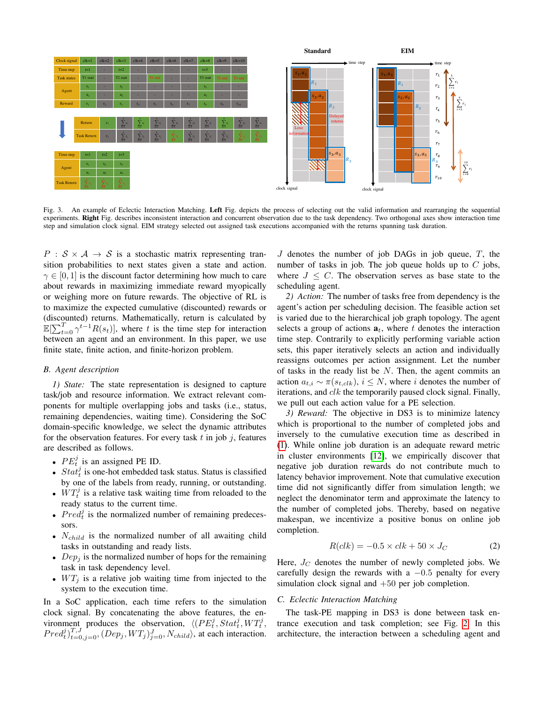

<span id="page-3-0"></span>Fig. 3. An example of Eclectic Interaction Matching. Left Fig. depicts the process of selecting out the valid information and rearranging the sequential experiments. Right Fig. describes inconsistent interaction and concurrent observation due to the task dependency. Two orthogonal axes show interaction time step and simulation clock signal. EIM strategy selected out assigned task executions accompanied with the returns spanning task duration.

 $P : S \times A \rightarrow S$  is a stochastic matrix representing transition probabilities to next states given a state and action.  $\gamma \in [0, 1]$  is the discount factor determining how much to care about rewards in maximizing immediate reward myopically or weighing more on future rewards. The objective of RL is to maximize the expected cumulative (discounted) rewards or (discounted) returns. Mathematically, return is calculated by  $\mathbb{E}[\sum_{t=0}^{T} \gamma^{t-1} R(s_t)]$ , where t is the time step for interaction between an agent and an environment. In this paper, we use finite state, finite action, and finite-horizon problem.

#### *B. Agent description*

*1) State:* The state representation is designed to capture task/job and resource information. We extract relevant components for multiple overlapping jobs and tasks (i.e., status, remaining dependencies, waiting time). Considering the SoC domain-specific knowledge, we select the dynamic attributes for the observation features. For every task  $t$  in job  $j$ , features are described as follows.

- $PE_t^j$  is an assigned PE ID.
- $Stat_t^j$  is one-hot embedded task status. Status is classified by one of the labels from ready, running, or outstanding.
- $WT_t^j$  is a relative task waiting time from reloaded to the ready status to the current time.
- $Pred_t^j$  is the normalized number of remaining predecessors.
- $N_{child}$  is the normalized number of all awaiting child tasks in outstanding and ready lists.
- $Dep<sub>j</sub>$  is the normalized number of hops for the remaining task in task dependency level.
- $WT_j$  is a relative job waiting time from injected to the system to the execution time.

In a SoC application, each time refers to the simulation clock signal. By concatenating the above features, the environment produces the observation,  $\langle (PE_t^j, Stat_t^j, WT_t^j,$  $Pred_t^j$ , $\}_{t=0,j=0}^{T,J}$ ,  $(Dep_j, WT_j)_{j=0}^{J}$ ,  $N_{child}$ ), at each interaction.

 $J$  denotes the number of job DAGs in job queue,  $T$ , the number of tasks in job. The job queue holds up to  $C$  jobs, where  $J \leq C$ . The observation serves as base state to the scheduling agent.

*2) Action:* The number of tasks free from dependency is the agent's action per scheduling decision. The feasible action set is varied due to the hierarchical job graph topology. The agent selects a group of actions  $a_t$ , where t denotes the interaction time step. Contrarily to explicitly performing variable action sets, this paper iteratively selects an action and individually reassigns outcomes per action assignment. Let the number of tasks in the ready list be  $N$ . Then, the agent commits an action  $a_{t,i} \sim \pi(s_{t,clk})$ ,  $i \leq N$ , where i denotes the number of iterations, and  $clk$  the temporarily paused clock signal. Finally, we pull out each action value for a PE selection.

*3) Reward:* The objective in DS3 is to minimize latency which is proportional to the number of completed jobs and inversely to the cumulative execution time as described in [\(1\)](#page-1-1). While online job duration is an adequate reward metric in cluster environments [\[12\]](#page-5-1), we empirically discover that negative job duration rewards do not contribute much to latency behavior improvement. Note that cumulative execution time did not significantly differ from simulation length; we neglect the denominator term and approximate the latency to the number of completed jobs. Thereby, based on negative makespan, we incentivize a positive bonus on online job completion.

$$
R(clk) = -0.5 \times clk + 50 \times J_C \tag{2}
$$

Here,  $J_C$  denotes the number of newly completed jobs. We carefully design the rewards with a  $-0.5$  penalty for every simulation clock signal and  $+50$  per job completion.

#### *C. Eclectic Interaction Matching*

The task-PE mapping in DS3 is done between task entrance execution and task completion; see Fig. [2.](#page-2-2) In this architecture, the interaction between a scheduling agent and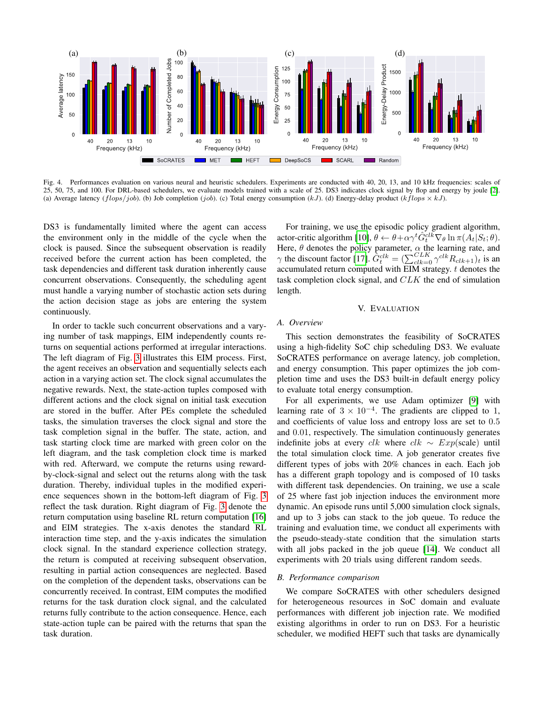

<span id="page-4-0"></span>Fig. 4. Performances evaluation on various neural and heuristic schedulers. Experiments are conducted with 40, 20, 13, and 10 kHz frequencies: scales of 25, 50, 75, and 100. For DRL-based schedulers, we evaluate models trained with a scale of 25. DS3 indicates clock signal by flop and energy by joule [\[2\]](#page-5-4). (a) Average latency ( $flops/job$ ). (b) Job completion (job). (c) Total energy consumption (kJ). (d) Energy-delay product (kflops  $\times kJ$ ).

DS3 is fundamentally limited where the agent can access the environment only in the middle of the cycle when the clock is paused. Since the subsequent observation is readily received before the current action has been completed, the task dependencies and different task duration inherently cause concurrent observations. Consequently, the scheduling agent must handle a varying number of stochastic action sets during the action decision stage as jobs are entering the system continuously.

In order to tackle such concurrent observations and a varying number of task mappings, EIM independently counts returns on sequential actions performed at irregular interactions. The left diagram of Fig. [3](#page-3-0) illustrates this EIM process. First, the agent receives an observation and sequentially selects each action in a varying action set. The clock signal accumulates the negative rewards. Next, the state-action tuples composed with different actions and the clock signal on initial task execution are stored in the buffer. After PEs complete the scheduled tasks, the simulation traverses the clock signal and store the task completion signal in the buffer. The state, action, and task starting clock time are marked with green color on the left diagram, and the task completion clock time is marked with red. Afterward, we compute the returns using rewardby-clock-signal and select out the returns along with the task duration. Thereby, individual tuples in the modified experience sequences shown in the bottom-left diagram of Fig. [3](#page-3-0) reflect the task duration. Right diagram of Fig. [3](#page-3-0) denote the return computation using baseline RL return computation [\[16\]](#page-5-15) and EIM strategies. The x-axis denotes the standard RL interaction time step, and the y-axis indicates the simulation clock signal. In the standard experience collection strategy, the return is computed at receiving subsequent observation, resulting in partial action consequences are neglected. Based on the completion of the dependent tasks, observations can be concurrently received. In contrast, EIM computes the modified returns for the task duration clock signal, and the calculated returns fully contribute to the action consequence. Hence, each state-action tuple can be paired with the returns that span the task duration.

For training, we use the episodic policy gradient algorithm, actor-critic algorithm [\[10\]](#page-5-16),  $\theta \leftarrow \theta + \alpha \gamma^t \hat{G}_t^{clk} \nabla_{\theta} \ln \pi(A_t|S_t; \theta)$ . Here,  $\theta$  denotes the policy parameter,  $\alpha$  the learning rate, and  $\gamma$  the discount factor [\[17\]](#page-5-17).  $\hat{G}^{clk}_{t} = (\sum_{clk=0}^{CLK} \gamma^{clk} R_{clk+1})_t$  is an accumulated return computed with EIM strategy.  $t$  denotes the task completion clock signal, and CLK the end of simulation length.

# V. EVALUATION

# *A. Overview*

This section demonstrates the feasibility of SoCRATES using a high-fidelity SoC chip scheduling DS3. We evaluate SoCRATES performance on average latency, job completion, and energy consumption. This paper optimizes the job completion time and uses the DS3 built-in default energy policy to evaluate total energy consumption.

For all experiments, we use Adam optimizer [\[9\]](#page-5-18) with learning rate of  $3 \times 10^{-4}$ . The gradients are clipped to 1, and coefficients of value loss and entropy loss are set to 0.5 and 0.01, respectively. The simulation continuously generates indefinite jobs at every *clk* where  $clk \sim Exp(scale)$  until the total simulation clock time. A job generator creates five different types of jobs with 20% chances in each. Each job has a different graph topology and is composed of 10 tasks with different task dependencies. On training, we use a scale of 25 where fast job injection induces the environment more dynamic. An episode runs until 5,000 simulation clock signals, and up to 3 jobs can stack to the job queue. To reduce the training and evaluation time, we conduct all experiments with the pseudo-steady-state condition that the simulation starts with all jobs packed in the job queue [\[14\]](#page-5-2). We conduct all experiments with 20 trials using different random seeds.

# *B. Performance comparison*

We compare SoCRATES with other schedulers designed for heterogeneous resources in SoC domain and evaluate performances with different job injection rate. We modified existing algorithms in order to run on DS3. For a heuristic scheduler, we modified HEFT such that tasks are dynamically